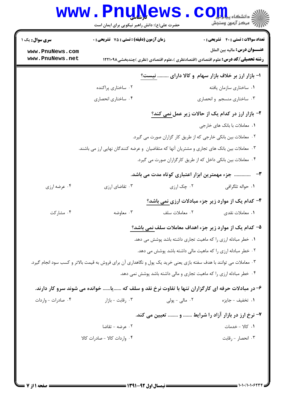# Www.PnuNews.com

حضرت علی(ع): دانش راهبر نیکویی برای ایمان است

| <b>سری سوال :</b> یک ۱<br>www.PnuNews.com<br>www.PnuNews.net | <b>زمان آزمون (دقیقه) : تستی : 75 تشریحی : 0</b>                                                                    |                | <b>تعداد سوالات : تستی : 40 ٪ تشریحی : 0</b><br><b>عنــــوان درس:</b> ماليه بين الملل    |
|--------------------------------------------------------------|---------------------------------------------------------------------------------------------------------------------|----------------|------------------------------------------------------------------------------------------|
|                                                              |                                                                                                                     |                | <b>رشته تحصیلی/کد درس:</b> علوم اقتصادی (اقتصادنظری )،علوم اقتصادی (نظری )چندبخشی1۲۲۱۰۹۸ |
|                                                              |                                                                                                                     |                | ا- بازار ارز بر خلاف بازار سهام و کالا دارای  نیست؟                                      |
|                                                              | ۰۲ ساختاری پراکنده                                                                                                  |                | ۰۱ ساختاری سازمان یافته                                                                  |
|                                                              | ۰۴ ساختاري انحصاري                                                                                                  |                | ۰۳ ساختاری منسجم و انحصاری                                                               |
|                                                              |                                                                                                                     |                | ۲- بازار ارز در کدام یک از حالات زیر عمل <u>نمی کند؟</u>                                 |
|                                                              |                                                                                                                     |                | ٠١. معاملات با بانک های خارجي                                                            |
|                                                              |                                                                                                                     |                | ۰۲ معاملات بین بانکی خارجی که از طریق کار گزاران صورت می گیرد.                           |
|                                                              | ۰۳ معاملات بین بانک های تجاری و مشتریان آنها که متقاضیان  و عرضه کنندگان نهایی ارز می باشند.                        |                |                                                                                          |
|                                                              |                                                                                                                     |                | ۰۴ معاملات بین بانکی داخل که از طریق کارگزاران صورت می گیرد.                             |
|                                                              |                                                                                                                     |                | ۳-    جزء مهمترین ابزار اعتباری کوتاه مدت می باشد.                                       |
| ۰۴ عرضه ارزي                                                 | ۰۳ تقاضای ارزی                                                                                                      | ۰۲ چک ارزی     | ٠١ حواله تلگرافي                                                                         |
|                                                              |                                                                                                                     |                | ۴- کدام یک از موارد زیر جزء مبادلات ارزی نمی باشد؟                                       |
| ۰۴ مشارکت                                                    | ۰۳ معاوضه                                                                                                           | ۰۲ معاملات سلف | ۰۱ معاملات نقدي                                                                          |
|                                                              |                                                                                                                     |                | ۵– کدام یک از موارد زیر جزء اهداف معاملات سلف نمی باشد؟                                  |
|                                                              |                                                                                                                     |                | ۰۱ خطر مبادله ارزی را که ماهیت تجاری داشته باشد پوشش می دهد.                             |
|                                                              |                                                                                                                     |                | ۰۲ خطر مبادله ارزی را که ماهیت مالی داشته باشد پوشش می دهد.                              |
|                                                              | ۰۳ معاملات می توانند با هدف سفته بازی یعنی خرید یک پول و نگاهداری آن برای فروش به قیمت بالاتر و کسب سود انجام گیرد. |                |                                                                                          |
|                                                              |                                                                                                                     |                | ۰۴ خطر مبادله ارزی را که ماهیت تجاری و مالی داشته باشد پوشش نمی دهد.                     |
|                                                              | ۶- در مبادلات حرفه ای کارگزاران تنها با تفاوت نرخ نقد و سلف که یا خوانده می شوند سرو کار دارند.                     |                |                                                                                          |
| ۰۴ صادرات - واردات                                           | ۰۳ رقابت - بازار                                                                                                    | ۰۲ مالی - پولی | ٠١. تخفيف - جايزه                                                                        |
|                                                              |                                                                                                                     |                |                                                                                          |
|                                                              |                                                                                                                     |                | ۷- نرخ ارز در بازار آزاد را شرایط  و  تعیین می کند.                                      |
|                                                              | ۰۲ عرضه - تقاضا                                                                                                     |                | ٠١. كالا - خدمات                                                                         |
|                                                              | ۰۴ واردات کالا - صادرات کالا                                                                                        |                | ۰۳ انحصار - رقابت                                                                        |
|                                                              |                                                                                                                     |                |                                                                                          |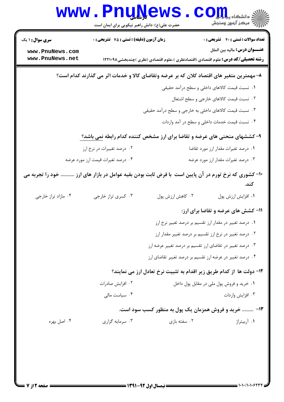|                                                                                          | <b>WWW.PNUI</b><br>حضرت علی(ع): دانش راهبر نیکویی برای ایمان است | <b>EWP</b>                                                                               | دانشگاه پیا <mark>م ایر</mark><br>أأأ مركز آزمون وسنجش |
|------------------------------------------------------------------------------------------|------------------------------------------------------------------|------------------------------------------------------------------------------------------|--------------------------------------------------------|
| <b>سری سوال :</b> ۱ یک                                                                   | زمان آزمون (دقیقه) : تستی : 75 ٪ تشریحی : 0                      |                                                                                          | <b>تعداد سوالات : تستی : 40 - تشریحی : 0</b>           |
| www.PnuNews.com<br>www.PnuNews.net                                                       |                                                                  | <b>رشته تحصیلی/کد درس:</b> علوم اقتصادی (اقتصادنظری )،علوم اقتصادی (نظری )چندبخشی1۲۲۱۰۹۸ | <b>عنــــوان درس:</b> ماليه بين الملل                  |
| ۸– مهمترین متغیر های اقتصاد کلان که بر عرضه وتقاضای کالا و خدمات اثر می گذارند کدام است؟ |                                                                  |                                                                                          |                                                        |
|                                                                                          |                                                                  |                                                                                          | ۰۱ نسبت قیمت کالاهای داخلی و سطح درآمد حقیقی           |
|                                                                                          |                                                                  |                                                                                          | ۰۲ نسبت قیمت کالاهای خارجی و سطح اشتغال                |
|                                                                                          |                                                                  | ۰۳ نسبت قیمت کالاهای داخلی به خارجی و سطح درآمد حقیقی                                    |                                                        |
|                                                                                          |                                                                  |                                                                                          | ۰۴ نسبت قیمت خدمات داخلی و سطح در آمد واردات           |
|                                                                                          |                                                                  | ۹- کششهای منحنی های عرضه و تقاضا برای ارز مشخص کننده کدام رابطه نمی باشد؟                |                                                        |
|                                                                                          | ۰۲ درصد تغییرات در نرخ ارز                                       |                                                                                          | ٠١ درصد تغيرات مقدار ارز مورد تقاضا                    |
|                                                                                          | ۰۴ درصد تغیرات قیمت ارز مورد عرضه                                |                                                                                          | ۰۳ درصد تغیرات مقدار ارز مورد عرضه                     |
| . خود را تجربه می                                                                        |                                                                  | +۱- کشوری که نرخ تورم در آن پایین است با فرض ثابت بودن بقیه عوامل در بازار های ارز       | كند.                                                   |
| ۰۴ مازاد تراز خارجی                                                                      | ۰۳ کسری تراز خارجی                                               | ۰۲ کاهش ارزش پول                                                                         | ٠١ افزايش ارزش پول                                     |
|                                                                                          |                                                                  |                                                                                          | 11- کشش های عرضه و تقاضا برای ارز:                     |
|                                                                                          |                                                                  |                                                                                          | ۰۱ درصد تغییر در مقدار ارز تقسیم بر درصد تغییر نرخ ارز |
|                                                                                          |                                                                  | ۰۲ درصد تغییر در نرخ ارز تقسیم بر درصد تغییر مقدار ارز                                   |                                                        |
|                                                                                          | ۰۳ درصد تغییر در تقاضای ارز تقسیم بر درصد تغییر عرضه ارز         |                                                                                          |                                                        |
|                                                                                          |                                                                  | ۰۴ درصد تغییر در عرضه ارز تقسیم بر درصد تغییر تقاضای ارز                                 |                                                        |
| ۱۲– دولت ها از کدام طریق زیر اقدام به تثبیت نرخ تعادل ارز می نمایند؟                     |                                                                  |                                                                                          |                                                        |
|                                                                                          | ۰۲ افزایش صادرات                                                 |                                                                                          | ٠١ خريد و فروش پول ملي در مقابل پول داخل               |
|                                                                                          | ۰۴ سیاست مالی                                                    |                                                                                          | ۰۳ افزايش واردات                                       |
|                                                                                          |                                                                  | ۱۳-  خرید و فروش همزمان یک پول به منظور کسب سود است.                                     |                                                        |
| ۰۴ اصل بهره                                                                              | ۰۳ سرمایه گزاری                                                  | ۰۲ سفته بازی                                                                             | ۰۱ آربیتراژ                                            |
|                                                                                          |                                                                  |                                                                                          |                                                        |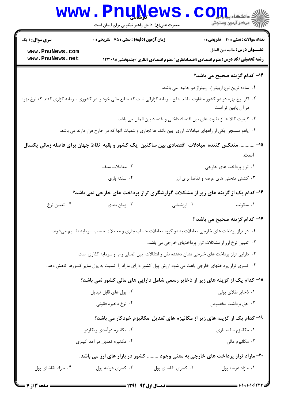| WW. PnuNews. Com                              |  |
|-----------------------------------------------|--|
| حضرت علی(ع): دانش راهبر نیکویی برای ایمان است |  |

**تعداد سوالات : تستي : 40 - تشريحي : 0** زمان آزمون (دقيقه) : تستى : 75 - تشريحي : 0 عنـــوان درس: ماليه بين الملل **رشته تحصیلی/کد درس:** علوم اقتصادی (اقتصادنظری )،علوم اقتصادی (نظری )چندبخشی1۲۲۱۰۹۸ ۱۴- کدام گزینه صحیح مے باشد؟ ٠١ ساده ترين نوع اربيتراژ، اربيتراژ دو جانبه مي باشد. ۲۰ اگر نرخ بهره در دو کشور متفاوت باشد بنفع سرمایه گزارانی است که منابع مالی خود را در کشوری سرمایه گزاری کنند که نرخ بهره در آن پایین تر است ٠٣ كيفيت كالا ها از تفاوت هاى بين اقتصاد داخلى و اقتصاد بين الملل مى باشد. ۰۴ یاهو مسنجر یکی از راههای مبادلات ارزی بین بانک ها تجاری و شعبات آنها که در خارج قرار دارند می باشد. ۱۵- ............. منعکس کننده مبادلات اقتصادی بین ساکنین یک کشور و بقیه نقاط جهان برای فاصله زمانی یکسال است.

- ٠٢ معاملات سلف ۰۱ تراز پرداخت های خارجی
	- ۰۴ سفته بازی ۰۳ کشش منحنی های عرضه و تقاضا برای ارز

۱۶- کدام یک از گزینه های زیر از مشکلات گزارشگری تراز پرداخت های خارجی نمی باشد؟

۰۴ تعیین نرخ ۰۲ ارزشیابی ۰۳ زمان بندی ۰۱ سکونت

### 17- كدام گزينه صحيح مي باشد ؟

- ۰۱ در تراز پرداخت های خارجی معاملات به دو گروه معاملات حساب جاری و معاملات حساب سرمایه تقسیم میشوند.
	- ۰۲ تعیین نرخ ارز از مشکلات تراز پرداختهای خارجی می باشد.
	- ۰۳ دارایی تراز پرداخت های خارجی نشان دهنده نقل و انتقالات بین المللی وام و سرمایه گذاری است.
- ۰۴ کسری تراز پرداختهای خارجی باعث می شود ارزش پول کشور دارای مازاد را نسبت به پول سایر کشورها کاهش دهد.

### ۱۸– کدام یک از گزینه های زیر از ذخایر رسمی شامل دارایی های مالی کشور نمی باشد؟

۰۲ پول های قابل تبدیل ۰۱ ذخایر طلای پولی ۰۴ نرخ ذخیره قانونی ۰۳ حق برداشت مخصوص

#### ۱۹- کدام یک از گزینه های زیر از مکانیزم های تعدیل مکانیزم خودکار می باشد؟

- ۰۲ مکانیزم در آمدی ریکاردو ۰۱ مکانیزم سفته بازی ۰۴ مکانیزم تعدیل در آمد کینزی ۰۳ مکانیزم مالی
- ۲۰- مازاد تراز پرداخت های خارجی به معنی وجود ......... کشور در بازار های ارز می باشد.
- ۰۲ کسری تقاضای پول ۰۴ مازاد تقاضای پول ۰۳ کسری عرضه پول ۰۱ مازاد عرضه يول

<mark>سری سوال :</mark> ۱ یک

www.PnuNews.com www.PnuNews.net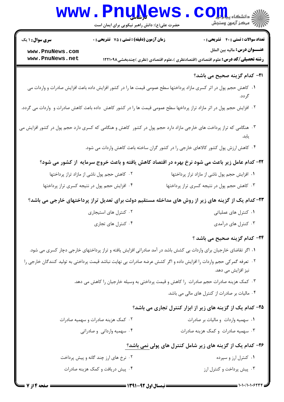| WWW.PnuNews.com |  |
|-----------------|--|
|                 |  |

حضرت علي(ع): دانش راهبر نيكويي براي ايمان است

تعداد سوالات : تستي تشريحي زمان آزمون (دقيقه) : تستي تشريحي سري سوال % \$ ': () : ' &': : :

**عنــــوان درس:** ماليه بين الملل

**[www.PnuNews.com](http://pnunews.com) [www.PnuNews.net](http://www.PnuNews.net)**

#### **۳۱- کدام گزینه صحیح می باشد؟**

- 1. كاهش حجم پول در اثر كسرى مازاد پرداختها سطح عمومى قيمت ها را در كشور افزايش داده باعث افزايش صادرات و واردات مى گر دد.
- ۲ . افزایش حجم پول در اثر مازاد تراز پرداخها سطح عمومی قیمت ها را در کشور کاهش داده باعث کاهش صادرات و واردات می گردد.
- ۳ . هنگامی که تراز پرداخت های خارجی مازاد دارد حجم پول در کشور کاهش و هنگامی که کسری دارد حجم پول در کشور افزایش می يابد.
	- ۴ · کاهش ارزش پول کشور کالاهای خارجی را در کشور گران ساخته باعث کاهش واردات می شود.

**رشته تحصیلی/کد درس:** علوم اقتصادی (اقتصادنظری )،علوم اقتصادی (نظری )چندبخشی1۲۲۱۰۹۸

**۲۲**- کدام عامل زیر باعث می شود نرخ بهره در اقتصاد کاهش یافته و باعث خروج سرمایه از کشور می شود؟

3-( 9 ( 2 L+ > C" 3-( 9 ( 2 L+ > C- \$ . . 3-( 9 )- ( L+ > C- 3-۰۳ کاهش حجم پول در نتیجه کسری تراز پرداختها مستان ۴۰۰

#### ۲۳- کدام یک از گزینه های زیر از روش های مداخله مستقیم دولت برای تعدیل تراز پرداختهای خارجی می باشد؟

| ۰۲ کنترل های استیجاری | ۰۱ کنترل های عملیاتی |
|-----------------------|----------------------|
| ۰۴ کنترل های تجاری    | ۰۳ کنترل های درآمدی  |

۲۴- کدام گزینه صحیح می باشد ؟

- ا . اگر تقاضای خارجیان برای واردات بی کشش باشد در آمد صادراتی افزایش یافته و تراز پرداختهای خارجی دچار کسری می شود.
- <sup>۲</sup> · تعرفه گمر کی حجم واردات را افزایش داده و اگر کشش عرضه صادرات بی نهایت نباشد قیمت پرداختی به تولید کنندگان خارجی را نیز افزایش مے<sub>،</sub> دھد.
	- ۰۳ کمک هزینه صادرات حجم صادرات را کاهش و قیمت پرداختی به وسیله خارجیان را کاهش می دهد.
		- ۰۴ مالیات بر صادرات از کنترل های مالی می باشد.

#### ۲۵- کدام یک از گزینه های زیر از ابزار کنترل تجاری می باشد؟

۰۲ كمك هزينه صادرات و سهميه صادرات %(, -" #I %(, \$ %)= %( )I3 \$ . . ۰۴ سهمیه وارداتی و صادراتی %(, -" #I %(, )I3 . .

#### ۲۶– کدام یک از گزینه های زیر شامل کنترل های پولی نمی باشد؟

| ۰۲ نرخ های ارز چند گانه و پیش پرداخت | ۰۱ کنترل ارز و سپرده      |
|--------------------------------------|---------------------------|
| ۰۴ پیش دریافت و کمک هزینه صادرات     | ۰۳ پیش پرداخت و کنترل ارز |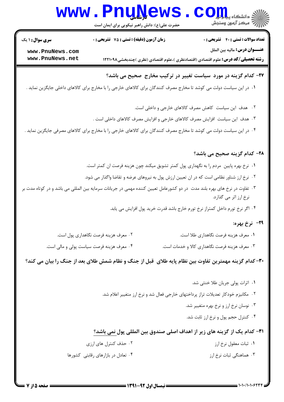# Www.PnuNews.com

| <b>سری سوال : ۱ یک</b> | زمان آزمون (دقیقه) : تستی : 75 لتشریحی : 0                                                                                 | <b>تعداد سوالات : تستی : 40 - تشریحی : 0</b>                                             |
|------------------------|----------------------------------------------------------------------------------------------------------------------------|------------------------------------------------------------------------------------------|
| www.PnuNews.com        |                                                                                                                            | <b>عنـــوان درس:</b> ماليه بين الملل                                                     |
| www.PnuNews.net        |                                                                                                                            | <b>رشته تحصیلی/کد درس:</b> علوم اقتصادی (اقتصادنظری )،علوم اقتصادی (نظری )چندبخشی1۲۲۱۰۹۸ |
|                        |                                                                                                                            | ۲۷- کدام گزینه در مورد سیاست تغییر در ترکیب مخارج صحیح می باشد؟                          |
|                        | ۰۱ در این سیاست دولت می کوشد تا مخارج مصرف کنندگان برای کالاهای خارجی را با مخارج برای کالاهای داخلی جایگزین نماید .       |                                                                                          |
|                        |                                                                                                                            | ۰۲ هدف این سیاست کاهش مصرف کالاهای خارجی و داخلی است.                                    |
|                        | ۰۳ هدف این سیاست افزایش مصرف کالاهای خارجی و افزایش مصرف کالاهای داخلی است .                                               |                                                                                          |
|                        | ۰۴ در این سیاست دولت می کوشد تا مخارج مصرف کنندگان برای کالاهای خارجی را با مخارج برای کالاهای مصرفی جایگزین نماید .       |                                                                                          |
|                        |                                                                                                                            | <b>۲۸- کدام گزینه صحیح می باشد؟</b>                                                      |
|                        | ۱. نرخ بهره پایین  مردم را به نگهداری پول کمتر تشویق میکند چون هزینه فرصت ان کمتر است.                                     |                                                                                          |
|                        | ۰۲ نرخ ارز شناور نظامی است که در ان تعیین ارزش پول به نیروهای عرضه و تقاضا واگذار می شود.                                  |                                                                                          |
|                        | ۰۳ تفاوت در نرخ های بهره بلند مدت ً در دو کشورعامل تعیین کننده مهمی در جریانات سرمایه بین المللی می باشد و در کوتاه مدت بر | نرخ ارز اثر مي گذارد.                                                                    |
|                        |                                                                                                                            | ۰۴ اگر نرخ تورم داخل کمتراز نرخ تورم خارج باشد قدرت خرید پول افزایش می یابد.             |
|                        |                                                                                                                            | <b>۲۹</b> - نرخ بهره:                                                                    |
|                        | ۰۲ معرف هزينه فرصت نگاهداري پول است.                                                                                       | ۰۱ معرف هزينه فرصت نگاهداري طلا است.                                                     |
|                        | ۰۴ معرف هزینه فرصت سیاست پولی و مالی است.                                                                                  | ۰۳ معرف هزينه فرصت نگاهداري كالا و خدمات است.                                            |
|                        | ۳۰– کدام گزینه مهمترین تفاوت بین نظام پایه طلای  قبل از جنگ و نظام شمش طلای بعد از جنگ را بیان می کند؟                     |                                                                                          |
|                        |                                                                                                                            | ۰۱ اثرات پولی جریان طلا خنثی شد.                                                         |
|                        |                                                                                                                            | ۰۲ مکانیزم خودکار تعدیلات تراز پرداختهای خارجی فعال شد و نرخ ارز متغییر اعلام شد.        |
|                        |                                                                                                                            | ۰۳ نوسان نرخ ارز و نرخ بهره متغییر شد.                                                   |
|                        |                                                                                                                            | ۰۴ کنترل حجم پول و نرخ ارز ثابت شد.                                                      |
|                        |                                                                                                                            | ٣١- كدام يك از گزينه هاي زير از اهداف اصلي صندوق بين المللي پول نمي باشد؟                |
|                        | ۰۲ حذف کنترل های ارزی                                                                                                      | ۰۱ ثبات معقول نرخ ارز                                                                    |
|                        | ۰۴ تعادل در بازارهای رقابتی کشورها                                                                                         | ۰۳ هماهنگی ثبات نرخ ارز                                                                  |
|                        |                                                                                                                            |                                                                                          |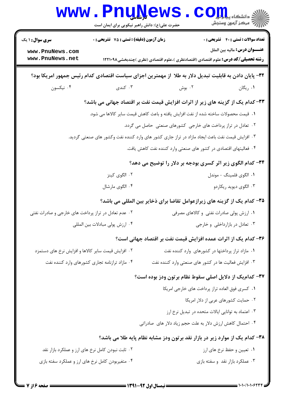| <b>سری سوال : ۱ یک</b>                              | زمان آزمون (دقیقه) : تستی : 75 لتشریحی : 0        |        | <b>تعداد سوالات : تستی : 40 - تشریحی : 0</b>                                                                              |
|-----------------------------------------------------|---------------------------------------------------|--------|---------------------------------------------------------------------------------------------------------------------------|
| www.PnuNews.com<br>www.PnuNews.net                  |                                                   |        | عنـــوان درس: ماليه بين الملل<br><b>رشته تحصیلی/کد درس:</b> علوم اقتصادی (اقتصادنظری )،علوم اقتصادی (نظری )چندبخشی۱۲۲۱۰۹۸ |
|                                                     |                                                   |        |                                                                                                                           |
|                                                     |                                                   |        | ۳۲- پایان دادن به قابلیت تبدیل دلار به طلا از مهمترین اجزای سیاست اقتصادی کدام رئیس جمهور امریکا بود؟                     |
| ۰۴ نیکسون                                           | ۰۳ کندی                                           | ۰۲ بوش | ۰۱ ریگان                                                                                                                  |
|                                                     |                                                   |        | ۳۳– کدام یک از گزینه های زیر از اثرات افزایش قیمت نفت بر اقتصاد جهانی می باشد؟                                            |
|                                                     |                                                   |        | ١.  قيمت محصولات ساخته شده از نفت افزايش يافته و باعث كاهش قيمت ساير كالاها مي شود.                                       |
|                                                     |                                                   |        | ۰۲ تعادل در تراز پرداخت های خارجی کشورهای صنعتی حاصل می گردد.                                                             |
|                                                     |                                                   |        | ۰۳ افزایش قیمت نفت باعث ایجاد مازاد در تراز جاری کشور های وارد کننده نفت وکشور های صنعتی گردید.                           |
|                                                     |                                                   |        | ۰۴ فعالیتهای اقتصادی در کشور های صنعتی وارد کننده نفت کاهش یافت.                                                          |
|                                                     |                                                   |        | ۳۴- کدام الگوی زیر اثر کسری بودجه بر دلار را توضیح می دهد؟                                                                |
|                                                     | ۰۲ الگوی کینز                                     |        | ٠١ الگوى فلمينگ - موندل                                                                                                   |
|                                                     | ۰۴ الگوی مارشال                                   |        | ۰۳ الگوی دیوید ریکاردو                                                                                                    |
|                                                     |                                                   |        | ۳۵– کدام یک از گزینه های زیرازعوامل تقاضا برای ذخایر بین المللی می باشد؟                                                  |
| ۰۲ عدم تعادل در تراز پرداخت های خارجی و صادرات نفتی |                                                   |        | ۰۱ ارزش پولی صادرات نفتی و کالاهای مصرفی                                                                                  |
|                                                     | ۰۴ ارزش پولی مبادلات بین المللی                   |        | ۰۳ تعادل در بازارداخلی و خارجی                                                                                            |
|                                                     |                                                   |        | ۳۶– کدام یک از اثرات عمده افزایش قیمت نفت بر اقتصاد جهانی است؟                                                            |
| ۰۲ افزایش قیمت سایر کالاها و افزایش نرخ های دستمزد  |                                                   |        | ۰۱ مازاد تراز پرداختها در کشورهای وارد کننده نفت                                                                          |
|                                                     | ۰۴ مازاد ترازنامه تجاری کشورهای وارد کننده نفت    |        | ۰۳ افزایش فعالیت ها در کشور های صنعتی وارد کننده نفت                                                                      |
|                                                     |                                                   |        | ۳۷– کدامیک از دلایل اصلی سقوط نظام برتون ودز بوده است؟                                                                    |
|                                                     |                                                   |        | ٠١ كسرى فوق العاده تراز پرداخت هاى خارجى امريكا                                                                           |
|                                                     |                                                   |        | ۰۲ حمایت کشورهای عربی از دلار امریکا                                                                                      |
|                                                     |                                                   |        | ۰۳ اعتماد به توانایی ایالات متحده در تبدیل نرخ ارز                                                                        |
|                                                     |                                                   |        | ۰۴ احتمال کاهش ارزش دلار به علت حجم زیاد دلار های صادراتی                                                                 |
|                                                     |                                                   |        | ۳۸- کدام یک از موارد زیر در بازار نقد برتون ودز مشابه نظام پایه طلا می باشد؟                                              |
|                                                     | ۰۲ ثابت نبودن کامل نرخ های ارز و عملکرد بازار نقد |        | ۰۱ تعیین و حفظ نرخ های ارز                                                                                                |
| ۰۴ متغیربودن کامل نرخ های ارز و عملکرد سفته بازی    |                                                   |        | ۰۳ عملکرد بازار نقد و سفته بازی                                                                                           |